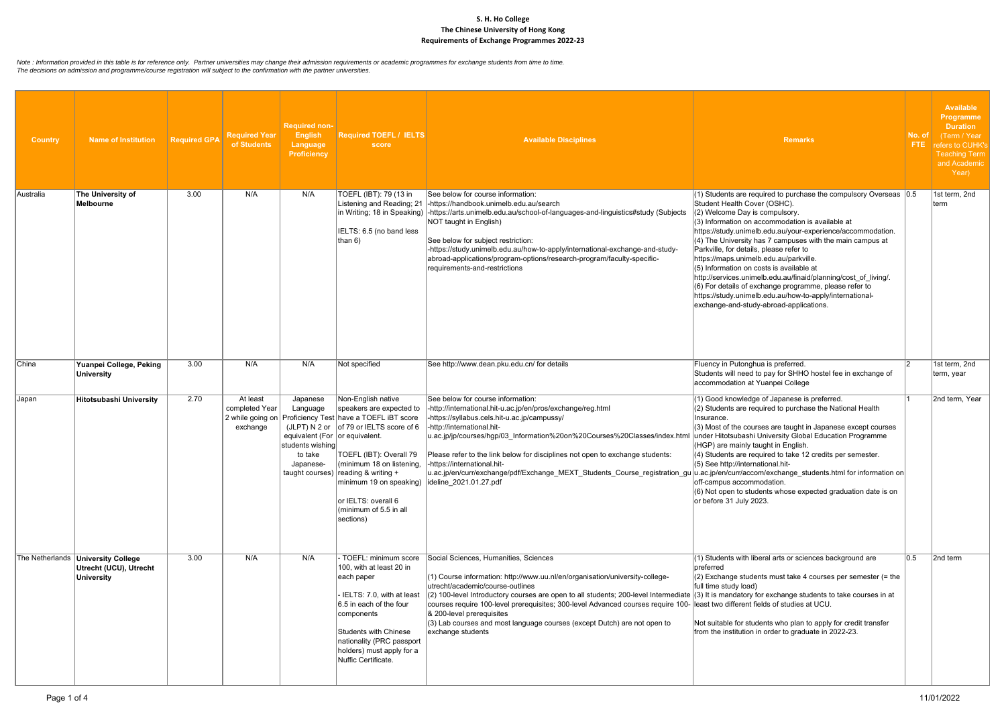| <b>Country</b> | <b>Name of Institution</b>                                                   | <b>Required GPA</b> | <b>Required Year</b><br>of Students    | <b>Required non-</b><br><b>English</b><br>Language<br><b>Proficiency</b> | <b>Required TOEFL / IELTS</b><br>score                                                                                                                                                                                                                                                                                                                                                                               | <b>Available Disciplines</b>                                                                                                                                                                                                                                                                                                                                                                                                                                                                                                                                                     | <b>Remarks</b>                                                                                                                                                                                                                                                                                                                                                                                                                                                                                                                                                                                                                                                                                         | No. of<br>FTE. | <b>Available</b><br>Programme<br><b>Duration</b><br>(Term / Year<br>refers to CUHK's<br><b>Teaching Term</b><br>and Academic<br>Year) |
|----------------|------------------------------------------------------------------------------|---------------------|----------------------------------------|--------------------------------------------------------------------------|----------------------------------------------------------------------------------------------------------------------------------------------------------------------------------------------------------------------------------------------------------------------------------------------------------------------------------------------------------------------------------------------------------------------|----------------------------------------------------------------------------------------------------------------------------------------------------------------------------------------------------------------------------------------------------------------------------------------------------------------------------------------------------------------------------------------------------------------------------------------------------------------------------------------------------------------------------------------------------------------------------------|--------------------------------------------------------------------------------------------------------------------------------------------------------------------------------------------------------------------------------------------------------------------------------------------------------------------------------------------------------------------------------------------------------------------------------------------------------------------------------------------------------------------------------------------------------------------------------------------------------------------------------------------------------------------------------------------------------|----------------|---------------------------------------------------------------------------------------------------------------------------------------|
| Australia      | The University of<br>Melbourne                                               | 3.00                | N/A                                    | N/A                                                                      | TOEFL (IBT): 79 (13 in<br>Listening and Reading; 21<br>IELTS: 6.5 (no band less<br>than $6)$                                                                                                                                                                                                                                                                                                                         | See below for course information:<br>-https://handbook.unimelb.edu.au/search<br>in Writing; 18 in Speaking) -https://arts.unimelb.edu.au/school-of-languages-and-linguistics#study (Subjects<br>NOT taught in English)<br>See below for subject restriction:<br>-https://study.unimelb.edu.au/how-to-apply/international-exchange-and-study-<br>abroad-applications/program-options/research-program/faculty-specific-<br>requirements-and-restrictions                                                                                                                          | $(1)$ Students are required to purchase the compulsory Overseas $ 0.5 $<br>Student Health Cover (OSHC).<br>(2) Welcome Day is compulsory.<br>$(3)$ Information on accommodation is available at<br>https://study.unimelb.edu.au/your-experience/accommodation.<br>$(4)$ The University has 7 campuses with the main campus at<br>Parkville, for details, please refer to<br>https://maps.unimelb.edu.au/parkville.<br>$(5)$ Information on costs is available at<br>http://services.unimelb.edu.au/finaid/planning/cost_of_living/.<br>$(6)$ For details of exchange programme, please refer to<br>https://study.unimelb.edu.au/how-to-apply/international-<br>exchange-and-study-abroad-applications. |                | 1st term, 2nd<br>Iterm                                                                                                                |
| China          | Yuanpei College, Peking<br>University                                        | 3.00                | N/A                                    | N/A                                                                      | Not specified                                                                                                                                                                                                                                                                                                                                                                                                        | See http://www.dean.pku.edu.cn/ for details                                                                                                                                                                                                                                                                                                                                                                                                                                                                                                                                      | Fluency in Putonghua is preferred.<br>Students will need to pay for SHHO hostel fee in exchange of<br>accommodation at Yuanpei College                                                                                                                                                                                                                                                                                                                                                                                                                                                                                                                                                                 | 12             | 1st term, 2nd<br>term, year                                                                                                           |
| Japan          | Hitotsubashi University                                                      | 2.70                | At least<br>completed Year<br>exchange | Japanese<br>Language<br>students wishing<br>to take<br>Japanese-         | Non-English native<br>speakers are expected to<br>2 while going on   Proficiency Test   have a TOEFL IBT score<br>(JLPT) N 2 or $ $ of 79 or IELTS score of 6<br>equivalent (For or equivalent.<br>TOEFL (IBT): Overall 79<br>(minimum 18 on listening,  -https://international.hit-<br>taught courses) reading & writing +<br>minimum 19 on speaking)<br>or IELTS: overall 6<br>(minimum of 5.5 in all<br>sections) | See below for course information:<br> -http://international.hit-u.ac.jp/en/pros/exchange/reg.html<br>-https://syllabus.cels.hit-u.ac.jp/campussy/<br>-http://international.hit-<br>u.ac.jp/jp/courses/hgp/03_Information%20on%20Courses%20Classes/index.html<br>Please refer to the link below for disciplines not open to exchange students:<br>u.ac.jp/en/curr/exchange/pdf/Exchange_MEXT_Students_Course_registration_gu u.ac.jp/en/curr/accom/exchange_students.html for information on<br>ideline 2021.01.27.pdf                                                            | $(1)$ Good knowledge of Japanese is preferred.<br>$(2)$ Students are required to purchase the National Health<br>Insurance.<br>$\vert$ (3) Most of the courses are taught in Japanese except courses<br>under Hitotsubashi University Global Education Programme<br>(HGP) are mainly taught in English.<br>$(4)$ Students are required to take 12 credits per semester.<br>(5) See http://international.hit-<br>off-campus accommodation.<br>$(6)$ Not open to students whose expected graduation date is on<br>or before 31 July 2023.                                                                                                                                                                |                | 2nd term, Year                                                                                                                        |
|                | The Netherlands   University College<br>Utrecht (UCU), Utrecht<br>University | 3.00                | N/A                                    | N/A                                                                      | - TOEFL: minimum score<br>100, with at least 20 in<br>each paper<br>IELTS: 7.0, with at least<br>6.5 in each of the four<br>components<br>Students with Chinese<br>nationality (PRC passport<br>holders) must apply for a<br>Nuffic Certificate.                                                                                                                                                                     | Social Sciences, Humanities, Sciences<br>(1) Course information: http://www.uu.nl/en/organisation/university-college-<br>utrecht/academic/course-outlines<br>(2) 100-level Introductory courses are open to all students; 200-level Intermediate (3) It is mandatory for exchange students to take courses in at<br>courses require 100-level prerequisites; 300-level Advanced courses require 100- least two different fields of studies at UCU.<br>& 200-level prerequisites<br>(3) Lab courses and most language courses (except Dutch) are not open to<br>exchange students | $(1)$ Students with liberal arts or sciences background are<br>preferred<br>$(2)$ Exchange students must take 4 courses per semester (= the<br>full time study load)<br>Not suitable for students who plan to apply for credit transfer<br>from the institution in order to graduate in 2022-23.                                                                                                                                                                                                                                                                                                                                                                                                       | 10.5           | 2nd term                                                                                                                              |

*Note : Information provided in this table is for reference only. Partner universities may change their admission requirements or academic programmes for exchange students from time to time. The decisions on admission and programme/course registration will subject to the confirmation with the partner universities.*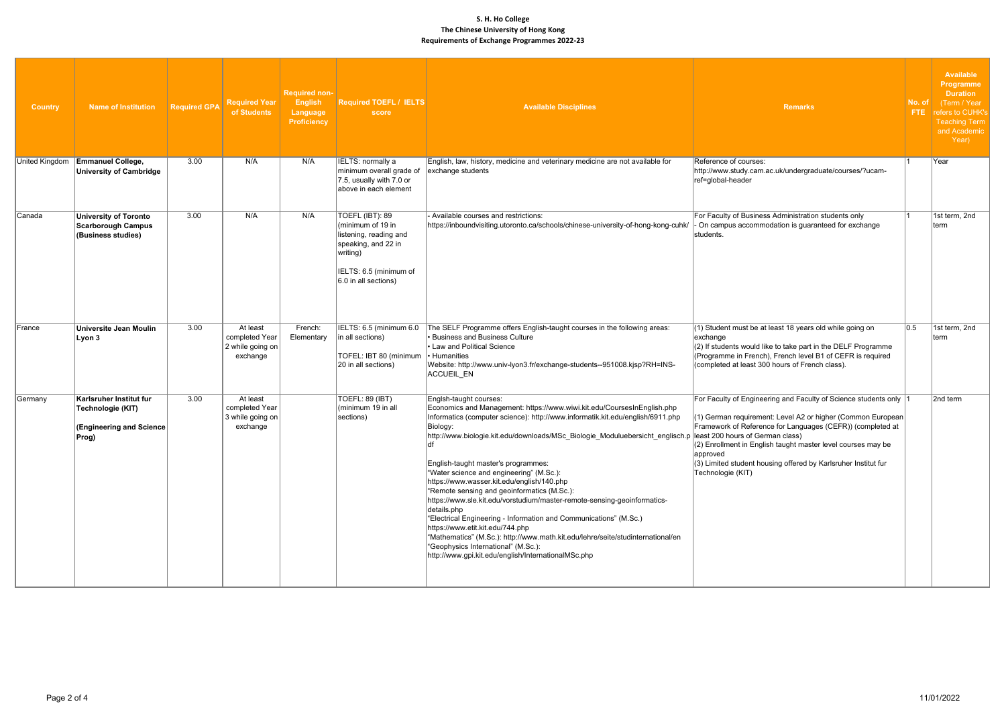| <b>Country</b> | <b>Name of Institution</b>                                                        | <b>Required GPA</b> | <b>Required Year</b><br>of Students                        | <b>Required non-</b><br><b>English</b><br>Language<br>Proficiency | <b>Required TOEFL / IELTS</b><br>score                                                                                                              | <b>Available Disciplines</b>                                                                                                                                                                                                                                                                                                                                                                                                                                                                                                                                                                                                                                                                                                                                                                                                                                                           | <b>Remarks</b>                                                                                                                                                                                                                                                                                                                                                      | No. of<br>FTE: | <b>Available</b><br><b>Programme</b><br><b>Duration</b><br>(Term / Year<br>refers to CUHK's<br>Teaching Term<br>and Academic  <br>Year) |
|----------------|-----------------------------------------------------------------------------------|---------------------|------------------------------------------------------------|-------------------------------------------------------------------|-----------------------------------------------------------------------------------------------------------------------------------------------------|----------------------------------------------------------------------------------------------------------------------------------------------------------------------------------------------------------------------------------------------------------------------------------------------------------------------------------------------------------------------------------------------------------------------------------------------------------------------------------------------------------------------------------------------------------------------------------------------------------------------------------------------------------------------------------------------------------------------------------------------------------------------------------------------------------------------------------------------------------------------------------------|---------------------------------------------------------------------------------------------------------------------------------------------------------------------------------------------------------------------------------------------------------------------------------------------------------------------------------------------------------------------|----------------|-----------------------------------------------------------------------------------------------------------------------------------------|
| United Kingdom | <b>Emmanuel College,</b><br><b>University of Cambridge</b>                        | 3.00                | N/A                                                        | N/A                                                               | IELTS: normally a<br>minimum overall grade of<br>7.5, usually with 7.0 or<br>above in each element                                                  | English, law, history, medicine and veterinary medicine are not available for<br>exchange students                                                                                                                                                                                                                                                                                                                                                                                                                                                                                                                                                                                                                                                                                                                                                                                     | Reference of courses:<br>http://www.study.cam.ac.uk/undergraduate/courses/?ucam-<br>ref=global-header                                                                                                                                                                                                                                                               |                | Year                                                                                                                                    |
| <b>Canada</b>  | University of Toronto<br><b>Scarborough Campus</b><br>(Business studies)          | 3.00                | N/A                                                        | N/A                                                               | TOEFL (IBT): 89<br>(minimum of 19 in<br>listening, reading and<br>speaking, and 22 in<br>writing)<br>IELTS: 6.5 (minimum of<br>6.0 in all sections) | - Available courses and restrictions:<br>https://inboundvisiting.utoronto.ca/schools/chinese-university-of-hong-kong-cuhk/                                                                                                                                                                                                                                                                                                                                                                                                                                                                                                                                                                                                                                                                                                                                                             | For Faculty of Business Administration students only<br>On campus accommodation is guaranteed for exchange<br>students.                                                                                                                                                                                                                                             |                | 1st term, 2nd<br>∣term                                                                                                                  |
| France         | Universite Jean Moulin<br>Lyon 3                                                  | 3.00                | At least<br>completed Year<br>2 while going on<br>exchange | French:<br>Elementary                                             | IELTS: 6.5 (minimum 6.0<br>in all sections)<br>TOFEL: IBT 80 (minimum<br>20 in all sections)                                                        | The SELF Programme offers English-taught courses in the following areas:<br><b>Business and Business Culture</b><br>• Law and Political Science<br>• Humanities<br>Website: http://www.univ-lyon3.fr/exchange-students--951008.kjsp?RH=INS-<br>ACCUEIL_EN                                                                                                                                                                                                                                                                                                                                                                                                                                                                                                                                                                                                                              | (1) Student must be at least 18 years old while going on<br>exchange<br>(2) If students would like to take part in the DELF Programme<br>(Programme in French), French level B1 of CEFR is required<br>(completed at least 300 hours of French class).                                                                                                              | 0.5            | 1st term, 2nd<br>Iterm                                                                                                                  |
| Germany        | Karlsruher Institut fur<br>Technologie (KIT)<br>(Engineering and Science<br>Prog) | 3.00                | At least<br>completed Year<br>3 while going on<br>exchange |                                                                   | <b>TOEFL: 89 (IBT)</b><br>(minimum 19 in all<br>sections)                                                                                           | Englsh-taught courses:<br>Economics and Management: https://www.wiwi.kit.edu/CoursesInEnglish.php<br>Informatics (computer science): http://www.informatik.kit.edu/english/6911.php<br>Biology:<br>http://www.biologie.kit.edu/downloads/MSc_Biologie_Moduluebersicht_englisch.p least 200 hours of German class)<br>English-taught master's programmes:<br>"Water science and engineering" (M.Sc.):<br>https://www.wasser.kit.edu/english/140.php<br>"Remote sensing and geoinformatics (M.Sc.):<br>https://www.sle.kit.edu/vorstudium/master-remote-sensing-geoinformatics-<br>details.php<br>"Electrical Engineering - Information and Communications" (M.Sc.)<br>https://www.etit.kit.edu/744.php<br>"Mathematics" (M.Sc.): http://www.math.kit.edu/lehre/seite/studinternational/en<br>"Geophysics International" (M.Sc.):<br>http://www.gpi.kit.edu/english/InternationalMSc.php | For Faculty of Engineering and Faculty of Science students only 1<br>(1) German requirement: Level A2 or higher (Common European<br>Framework of Reference for Languages (CEFR)) (completed at<br>$(2)$ Enrollment in English taught master level courses may be<br>approved<br>(3) Limited student housing offered by Karlsruher Institut fur<br>Technologie (KIT) |                | 2nd term                                                                                                                                |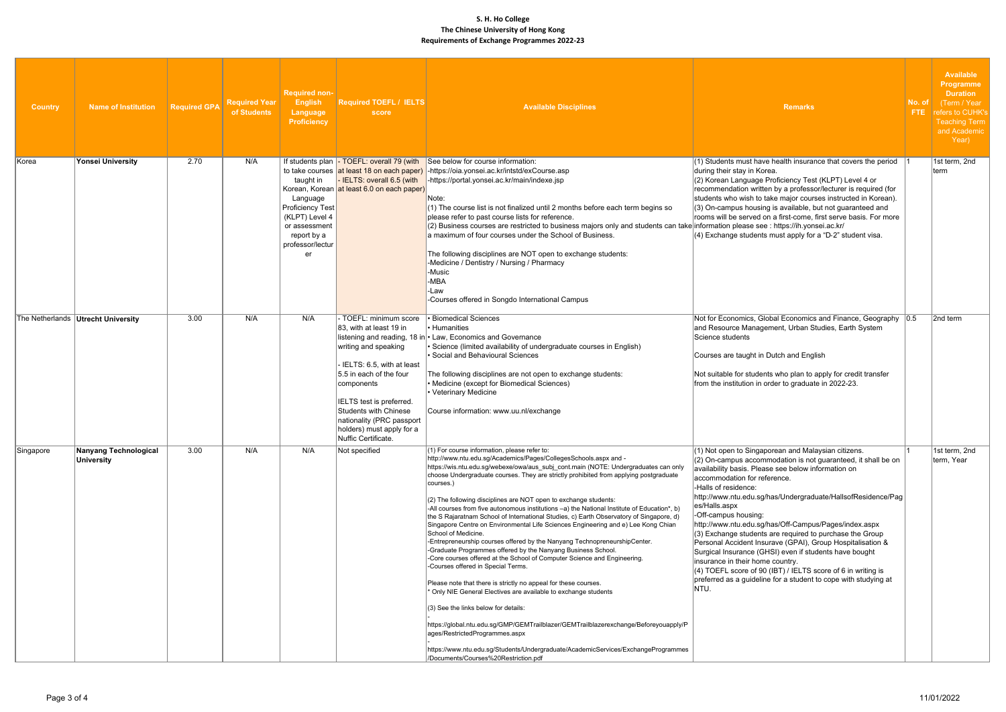| <b>Country</b> | <b>Name of Institution</b>                 | <b>Required GPA</b> | <b>Required Year</b><br>of Students | <b>Required non-</b><br><b>English</b><br><b>Language</b><br><b>Proficiency</b>                                              | <b>Required TOEFL / IELTS</b><br>score                                                                                                                                                                                                                                                     | <b>Available Disciplines</b>                                                                                                                                                                                                                                                                                                                                                                                                                                                                                                                                                                                                                                                                                                                                                                                                                                                                                                                                                                                                                                                                                                                                                                                                                                                                                                                                                                | <b>Remarks</b>                                                                                                                                                                                                                                                                                                                                                                                                                                                                                                                                                                                                                                                                                                                                                                    | No. of<br>FTE: | <b>Available</b><br><b>Programme</b><br><b>Duration</b><br>(Term / Year<br>refers to CUHK's<br><b>Teaching Term</b><br>and Academic<br>Year) |
|----------------|--------------------------------------------|---------------------|-------------------------------------|------------------------------------------------------------------------------------------------------------------------------|--------------------------------------------------------------------------------------------------------------------------------------------------------------------------------------------------------------------------------------------------------------------------------------------|---------------------------------------------------------------------------------------------------------------------------------------------------------------------------------------------------------------------------------------------------------------------------------------------------------------------------------------------------------------------------------------------------------------------------------------------------------------------------------------------------------------------------------------------------------------------------------------------------------------------------------------------------------------------------------------------------------------------------------------------------------------------------------------------------------------------------------------------------------------------------------------------------------------------------------------------------------------------------------------------------------------------------------------------------------------------------------------------------------------------------------------------------------------------------------------------------------------------------------------------------------------------------------------------------------------------------------------------------------------------------------------------|-----------------------------------------------------------------------------------------------------------------------------------------------------------------------------------------------------------------------------------------------------------------------------------------------------------------------------------------------------------------------------------------------------------------------------------------------------------------------------------------------------------------------------------------------------------------------------------------------------------------------------------------------------------------------------------------------------------------------------------------------------------------------------------|----------------|----------------------------------------------------------------------------------------------------------------------------------------------|
| ∣Korea         | Yonsei University                          | 2.70                | N/A                                 | taught in<br>Language<br><b>Proficiency Test</b><br>(KLPT) Level 4<br>or assessment<br>report by a<br>professor/lectur<br>er | IELTS: overall 6.5 (with<br>Korean, Korean at least 6.0 on each paper)                                                                                                                                                                                                                     | If students plan - TOEFL: overall 79 (with See below for course information:<br>to take courses at least 18 on each paper) -https://oia.yonsei.ac.kr/intstd/exCourse.asp<br>$\vert$ -https://portal.yonsei.ac.kr/main/indexe.jsp<br>Note:<br>(1) The course list is not finalized until 2 months before each term begins so<br>please refer to past course lists for reference.<br>(2) Business courses are restricted to business majors only and students can take information please see : https://ih.yonsei.ac.kr/<br>a maximum of four courses under the School of Business.<br>The following disciplines are NOT open to exchange students:<br>-Medicine / Dentistry / Nursing / Pharmacy<br>-Music<br>-MBA<br>-Law<br>-Courses offered in Songdo International Campus                                                                                                                                                                                                                                                                                                                                                                                                                                                                                                                                                                                                                | $(1)$ Students must have health insurance that covers the period<br>during their stay in Korea.<br>(2) Korean Language Proficiency Test (KLPT) Level 4 or<br>recommendation written by a professor/lecturer is required (for<br>students who wish to take major courses instructed in Korean).<br>(3) On-campus housing is available, but not guaranteed and<br>rooms will be served on a first-come, first serve basis. For more<br>$(4)$ Exchange students must apply for a "D-2" student visa.                                                                                                                                                                                                                                                                                 |                | 1st term, 2nd<br>term                                                                                                                        |
|                | The Netherlands Utrecht University         | 3.00                | N/A                                 | N/A                                                                                                                          | TOEFL: minimum score<br>83, with at least 19 in<br>writing and speaking<br>IELTS: 6.5, with at least<br>5.5 in each of the four<br>components<br>IELTS test is preferred.<br><b>Students with Chinese</b><br>nationality (PRC passport<br>holders) must apply for a<br>Nuffic Certificate. | · Biomedical Sciences<br>• Humanities<br>listening and reading, 18 in • Law, Economics and Governance<br>· Science (limited availability of undergraduate courses in English)<br>Social and Behavioural Sciences<br>The following disciplines are not open to exchange students:<br>• Medicine (except for Biomedical Sciences)<br>Veterinary Medicine<br>Course information: www.uu.nl/exchange                                                                                                                                                                                                                                                                                                                                                                                                                                                                                                                                                                                                                                                                                                                                                                                                                                                                                                                                                                                            | Not for Economics, Global Economics and Finance, Geography 0.5<br>and Resource Management, Urban Studies, Earth System<br>Science students<br>Courses are taught in Dutch and English<br>Not suitable for students who plan to apply for credit transfer<br>from the institution in order to graduate in 2022-23.                                                                                                                                                                                                                                                                                                                                                                                                                                                                 |                | 2nd term                                                                                                                                     |
| Singapore      | <b>Nanyang Technological</b><br>University | 3.00                | N/A                                 | N/A                                                                                                                          | Not specified                                                                                                                                                                                                                                                                              | (1) For course information, please refer to:<br>http://www.ntu.edu.sg/Academics/Pages/CollegesSchools.aspx and -<br>https://wis.ntu.edu.sg/webexe/owa/aus_subj_cont.main (NOTE: Undergraduates can only<br>choose Undergraduate courses. They are strictly prohibited from applying postgraduate<br>courses.)<br>(2) The following disciplines are NOT open to exchange students:<br>-All courses from five autonomous institutions -a) the National Institute of Education*, b)<br>the S Rajaratnam School of International Studies, c) Earth Observatory of Singapore, d)<br>Singapore Centre on Environmental Life Sciences Engineering and e) Lee Kong Chian<br>School of Medicine.<br>-Entrepreneurship courses offered by the Nanyang TechnopreneurshipCenter.<br>-Graduate Programmes offered by the Nanyang Business School.<br>-Core courses offered at the School of Computer Science and Engineering.<br>-Courses offered in Special Terms.<br>Please note that there is strictly no appeal for these courses.<br>* Only NIE General Electives are available to exchange students<br>(3) See the links below for details:<br>https://global.ntu.edu.sg/GMP/GEMTrailblazer/GEMTrailblazerexchange/Beforeyouapply/P<br>ages/RestrictedProgrammes.aspx<br>https://www.ntu.edu.sg/Students/Undergraduate/AcademicServices/ExchangeProgrammes<br>/Documents/Courses%20Restriction.pdf | $(1)$ Not open to Singaporean and Malaysian citizens.<br>$(2)$ On-campus accommodation is not guaranteed, it shall be on<br>availability basis. Please see below information on<br>accommodation for reference.<br>-Halls of residence:<br>http://www.ntu.edu.sg/has/Undergraduate/HallsofResidence/Pag<br>es/Halls.aspx<br>-Off-campus housing:<br>http://www.ntu.edu.sg/has/Off-Campus/Pages/index.aspx<br>$(3)$ Exchange students are required to purchase the Group<br>Personal Accident Insurave (GPAI), Group Hospitalisation &<br>Surgical Insurance (GHSI) even if students have bought<br>insurance in their home country.<br>$(4)$ TOEFL score of 90 (IBT) / IELTS score of 6 in writing is<br>preferred as a guideline for a student to cope with studying at<br>INTU. |                | 1st term, 2nd<br>term, Year                                                                                                                  |